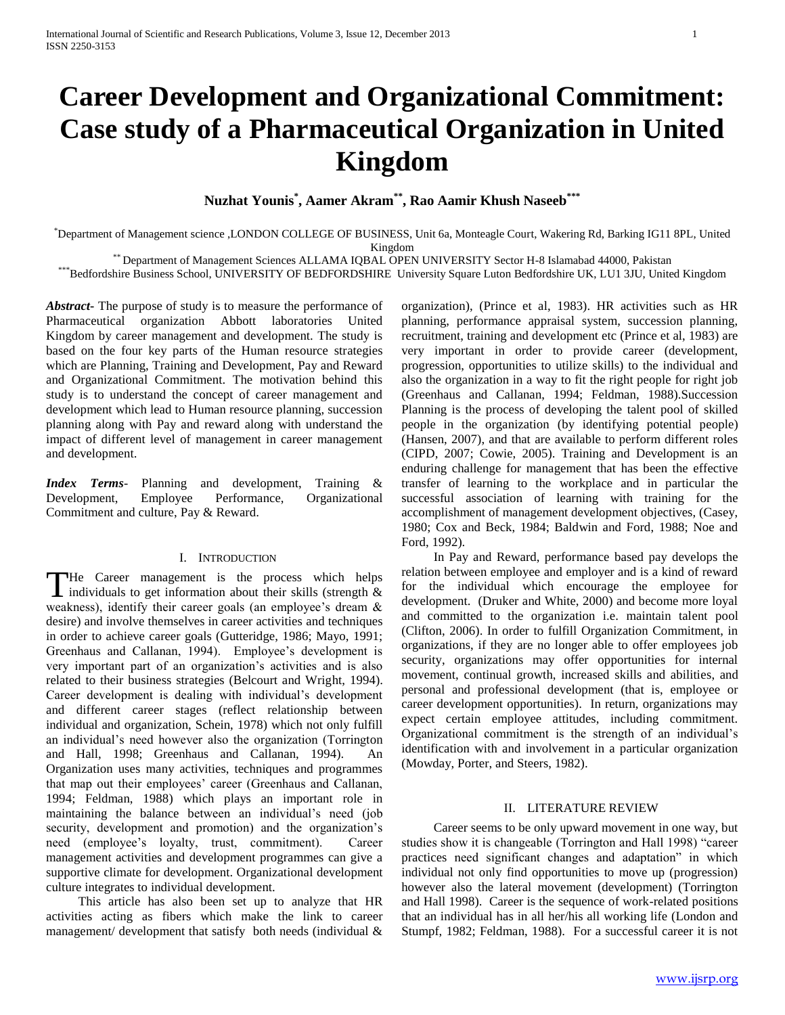# **Career Development and Organizational Commitment: Case study of a Pharmaceutical Organization in United Kingdom**

**Nuzhat Younis\* , Aamer Akram\*\* , Rao Aamir Khush Naseeb\*\*\***

\*Department of Management science ,LONDON COLLEGE OF BUSINESS, Unit 6a, Monteagle Court, Wakering Rd, Barking IG11 8PL, United Kingdom

\*\* Department of Management Sciences ALLAMA IQBAL OPEN UNIVERSITY Sector H-8 Islamabad 44000, Pakistan

\*\*\*Bedfordshire Business School, UNIVERSITY OF BEDFORDSHIRE University Square Luton Bedfordshire UK, LU1 3JU, United Kingdom

*Abstract***-** The purpose of study is to measure the performance of Pharmaceutical organization Abbott laboratories United Kingdom by career management and development. The study is based on the four key parts of the Human resource strategies which are Planning, Training and Development, Pay and Reward and Organizational Commitment. The motivation behind this study is to understand the concept of career management and development which lead to Human resource planning, succession planning along with Pay and reward along with understand the impact of different level of management in career management and development.

*Index Terms*- Planning and development, Training & Development, Employee Performance, Organizational Commitment and culture, Pay & Reward.

#### I. INTRODUCTION

He Career management is the process which helps The Career management is the process which helps individuals to get information about their skills (strength & weakness), identify their career goals (an employee's dream & desire) and involve themselves in career activities and techniques in order to achieve career goals (Gutteridge, 1986; Mayo, 1991; Greenhaus and Callanan, 1994). Employee's development is very important part of an organization's activities and is also related to their business strategies (Belcourt and Wright, 1994). Career development is dealing with individual's development and different career stages (reflect relationship between individual and organization, Schein, 1978) which not only fulfill an individual's need however also the organization (Torrington and Hall, 1998; Greenhaus and Callanan, 1994). An Organization uses many activities, techniques and programmes that map out their employees' career (Greenhaus and Callanan, 1994; Feldman, 1988) which plays an important role in maintaining the balance between an individual's need (job security, development and promotion) and the organization's need (employee's loyalty, trust, commitment). Career management activities and development programmes can give a supportive climate for development. Organizational development culture integrates to individual development.

 This article has also been set up to analyze that HR activities acting as fibers which make the link to career management/ development that satisfy both needs (individual  $\&$  organization), (Prince et al, 1983). HR activities such as HR planning, performance appraisal system, succession planning, recruitment, training and development etc (Prince et al, 1983) are very important in order to provide career (development, progression, opportunities to utilize skills) to the individual and also the organization in a way to fit the right people for right job (Greenhaus and Callanan, 1994; Feldman, 1988).Succession Planning is the process of developing the talent pool of skilled people in the organization (by identifying potential people) (Hansen, 2007), and that are available to perform different roles (CIPD, 2007; Cowie, 2005). Training and Development is an enduring challenge for management that has been the effective transfer of learning to the workplace and in particular the successful association of learning with training for the accomplishment of management development objectives, (Casey, 1980; Cox and Beck, 1984; Baldwin and Ford, 1988; Noe and Ford, 1992).

 In Pay and Reward, performance based pay develops the relation between employee and employer and is a kind of reward for the individual which encourage the employee for development. (Druker and White, 2000) and become more loyal and committed to the organization i.e. maintain talent pool (Clifton, 2006). In order to fulfill Organization Commitment, in organizations, if they are no longer able to offer employees job security, organizations may offer opportunities for internal movement, continual growth, increased skills and abilities, and personal and professional development (that is, employee or career development opportunities). In return, organizations may expect certain employee attitudes, including commitment. Organizational commitment is the strength of an individual's identification with and involvement in a particular organization (Mowday, Porter, and Steers, 1982).

#### II. LITERATURE REVIEW

 Career seems to be only upward movement in one way, but studies show it is changeable (Torrington and Hall 1998) "career practices need significant changes and adaptation" in which individual not only find opportunities to move up (progression) however also the lateral movement (development) (Torrington and Hall 1998). Career is the sequence of work-related positions that an individual has in all her/his all working life (London and Stumpf, 1982; Feldman, 1988). For a successful career it is not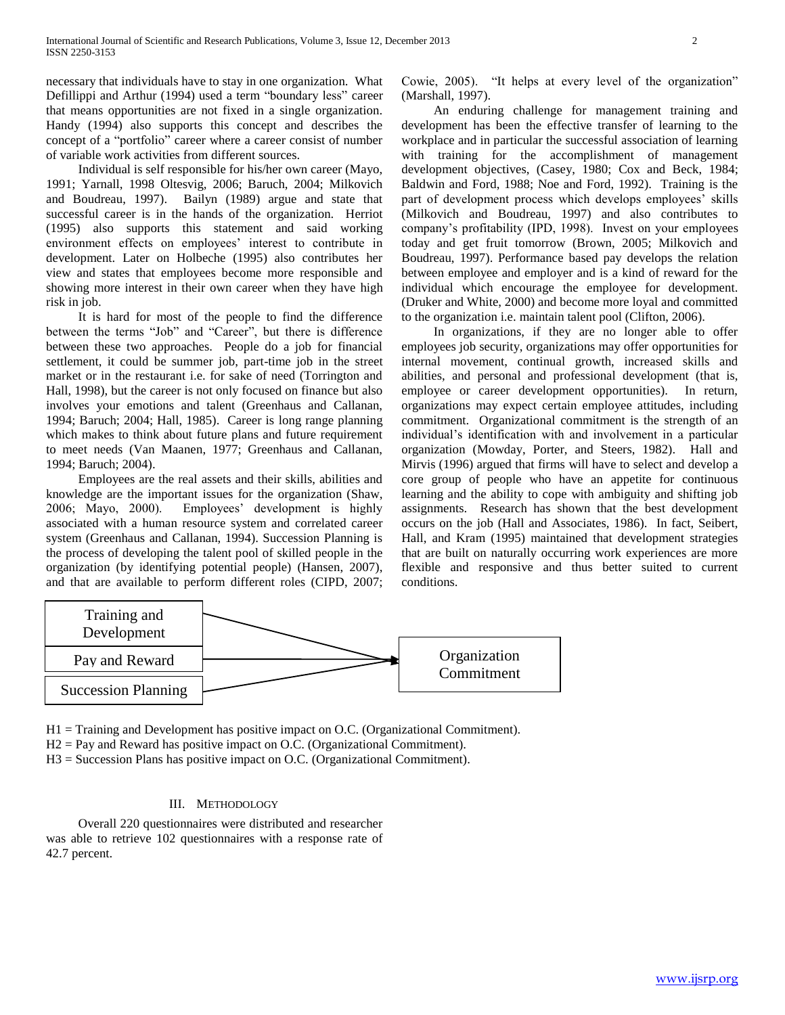necessary that individuals have to stay in one organization. What Defillippi and Arthur (1994) used a term "boundary less" career that means opportunities are not fixed in a single organization. Handy (1994) also supports this concept and describes the concept of a "portfolio" career where a career consist of number of variable work activities from different sources.

 Individual is self responsible for his/her own career (Mayo, 1991; Yarnall, 1998 Oltesvig, 2006; Baruch, 2004; Milkovich and Boudreau, 1997). Bailyn (1989) argue and state that successful career is in the hands of the organization. Herriot (1995) also supports this statement and said working environment effects on employees' interest to contribute in development. Later on Holbeche (1995) also contributes her view and states that employees become more responsible and showing more interest in their own career when they have high risk in job.

 It is hard for most of the people to find the difference between the terms "Job" and "Career", but there is difference between these two approaches. People do a job for financial settlement, it could be summer job, part-time job in the street market or in the restaurant i.e. for sake of need (Torrington and Hall, 1998), but the career is not only focused on finance but also involves your emotions and talent (Greenhaus and Callanan, 1994; Baruch; 2004; Hall, 1985). Career is long range planning which makes to think about future plans and future requirement to meet needs (Van Maanen, 1977; Greenhaus and Callanan, 1994; Baruch; 2004).

 Employees are the real assets and their skills, abilities and knowledge are the important issues for the organization (Shaw, 2006; Mayo, 2000). Employees' development is highly associated with a human resource system and correlated career system (Greenhaus and Callanan, 1994). Succession Planning is the process of developing the talent pool of skilled people in the organization (by identifying potential people) (Hansen, 2007), and that are available to perform different roles (CIPD, 2007;

Cowie, 2005). "It helps at every level of the organization" (Marshall, 1997).

 An enduring challenge for management training and development has been the effective transfer of learning to the workplace and in particular the successful association of learning with training for the accomplishment of management development objectives, (Casey, 1980; Cox and Beck, 1984; Baldwin and Ford, 1988; Noe and Ford, 1992). Training is the part of development process which develops employees' skills (Milkovich and Boudreau, 1997) and also contributes to company's profitability (IPD, 1998). Invest on your employees today and get fruit tomorrow (Brown, 2005; Milkovich and Boudreau, 1997). Performance based pay develops the relation between employee and employer and is a kind of reward for the individual which encourage the employee for development. (Druker and White, 2000) and become more loyal and committed to the organization i.e. maintain talent pool (Clifton, 2006).

 In organizations, if they are no longer able to offer employees job security, organizations may offer opportunities for internal movement, continual growth, increased skills and abilities, and personal and professional development (that is, employee or career development opportunities). In return, organizations may expect certain employee attitudes, including commitment. Organizational commitment is the strength of an individual's identification with and involvement in a particular organization (Mowday, Porter, and Steers, 1982). Hall and Mirvis (1996) argued that firms will have to select and develop a core group of people who have an appetite for continuous learning and the ability to cope with ambiguity and shifting job assignments. Research has shown that the best development occurs on the job (Hall and Associates, 1986). In fact, Seibert, Hall, and Kram (1995) maintained that development strategies that are built on naturally occurring work experiences are more flexible and responsive and thus better suited to current conditions.



H1 = Training and Development has positive impact on O.C. (Organizational Commitment).

H2 = Pay and Reward has positive impact on O.C. (Organizational Commitment).

H3 = Succession Plans has positive impact on O.C. (Organizational Commitment).

# III. METHODOLOGY

 Overall 220 questionnaires were distributed and researcher was able to retrieve 102 questionnaires with a response rate of 42.7 percent.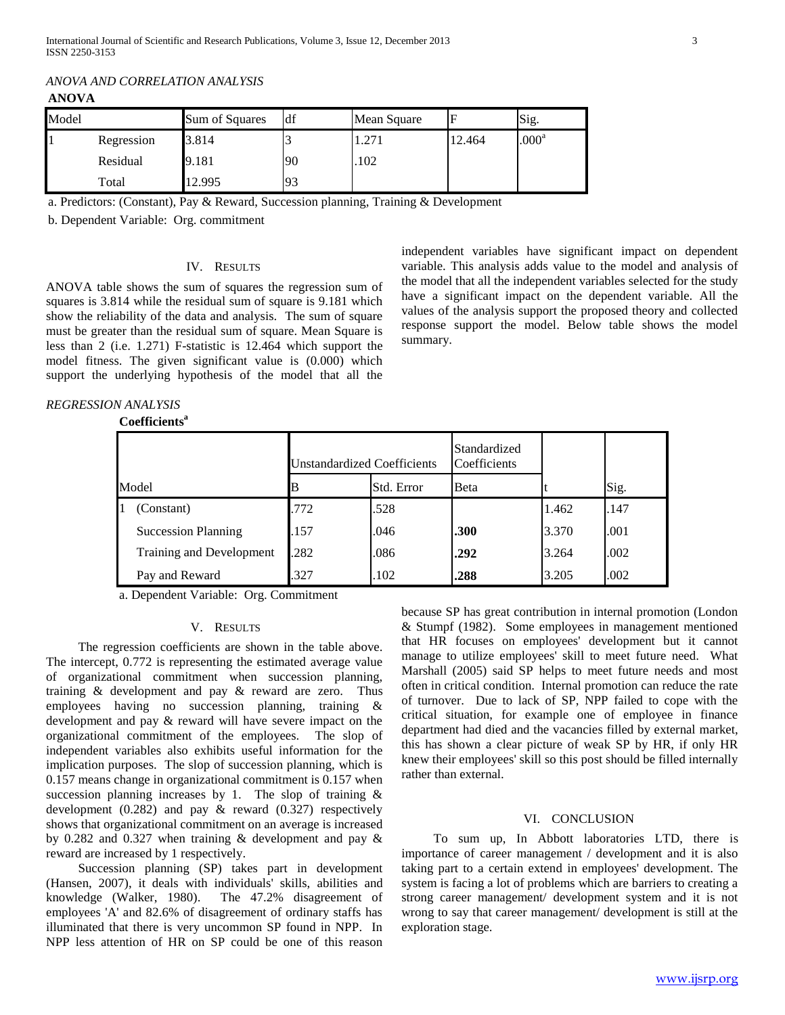| ANOVA |            |                |    |             |        |                   |  |  |  |  |
|-------|------------|----------------|----|-------------|--------|-------------------|--|--|--|--|
| Model |            | Sum of Squares | df | Mean Square |        | Sig.              |  |  |  |  |
|       | Regression | 3.814          |    | 1.271       | 12.464 | .000 <sup>a</sup> |  |  |  |  |
|       | Residual   | 9.181          | 90 | .102        |        |                   |  |  |  |  |
|       |            |                |    |             |        |                   |  |  |  |  |

*ANOVA AND CORRELATION ANALYSIS*

a. Predictors: (Constant), Pay & Reward, Succession planning, Training & Development

b. Dependent Variable: Org. commitment

### IV. RESULTS

Total 12.995 93

ANOVA table shows the sum of squares the regression sum of squares is 3.814 while the residual sum of square is 9.181 which show the reliability of the data and analysis. The sum of square must be greater than the residual sum of square. Mean Square is less than 2 (i.e. 1.271) F-statistic is 12.464 which support the model fitness. The given significant value is (0.000) which support the underlying hypothesis of the model that all the independent variables have significant impact on dependent variable. This analysis adds value to the model and analysis of the model that all the independent variables selected for the study have a significant impact on the dependent variable. All the values of the analysis support the proposed theory and collected response support the model. Below table shows the model summary.

# *REGRESSION ANALYSIS*

# **Coefficients<sup>a</sup>**

|       |                            | Unstandardized Coefficients |            | Standardized<br>Coefficients |       |      |
|-------|----------------------------|-----------------------------|------------|------------------------------|-------|------|
| Model |                            |                             | Std. Error | Beta                         |       | Sig. |
|       | (Constant)                 | .772                        | .528       |                              | 1.462 | .147 |
|       | <b>Succession Planning</b> | .157                        | .046       | .300                         | 3.370 | .001 |
|       | Training and Development   | .282                        | .086       | .292                         | 3.264 | .002 |
|       | Pay and Reward             | .327                        | .102       | .288                         | 3.205 | .002 |

a. Dependent Variable: Org. Commitment

# V. RESULTS

 The regression coefficients are shown in the table above. The intercept, 0.772 is representing the estimated average value of organizational commitment when succession planning, training & development and pay & reward are zero. Thus employees having no succession planning, training & development and pay & reward will have severe impact on the organizational commitment of the employees. The slop of independent variables also exhibits useful information for the implication purposes. The slop of succession planning, which is 0.157 means change in organizational commitment is 0.157 when succession planning increases by 1. The slop of training  $\&$ development (0.282) and pay & reward (0.327) respectively shows that organizational commitment on an average is increased by 0.282 and 0.327 when training & development and pay & reward are increased by 1 respectively.

 Succession planning (SP) takes part in development (Hansen, 2007), it deals with individuals' skills, abilities and knowledge (Walker, 1980). The 47.2% disagreement of employees 'A' and 82.6% of disagreement of ordinary staffs has illuminated that there is very uncommon SP found in NPP. In NPP less attention of HR on SP could be one of this reason

because SP has great contribution in internal promotion (London & Stumpf (1982). Some employees in management mentioned that HR focuses on employees' development but it cannot manage to utilize employees' skill to meet future need. What Marshall (2005) said SP helps to meet future needs and most often in critical condition. Internal promotion can reduce the rate of turnover. Due to lack of SP, NPP failed to cope with the critical situation, for example one of employee in finance department had died and the vacancies filled by external market, this has shown a clear picture of weak SP by HR, if only HR knew their employees' skill so this post should be filled internally rather than external.

#### VI. CONCLUSION

 To sum up, In Abbott laboratories LTD, there is importance of career management / development and it is also taking part to a certain extend in employees' development. The system is facing a lot of problems which are barriers to creating a strong career management/ development system and it is not wrong to say that career management/ development is still at the exploration stage.